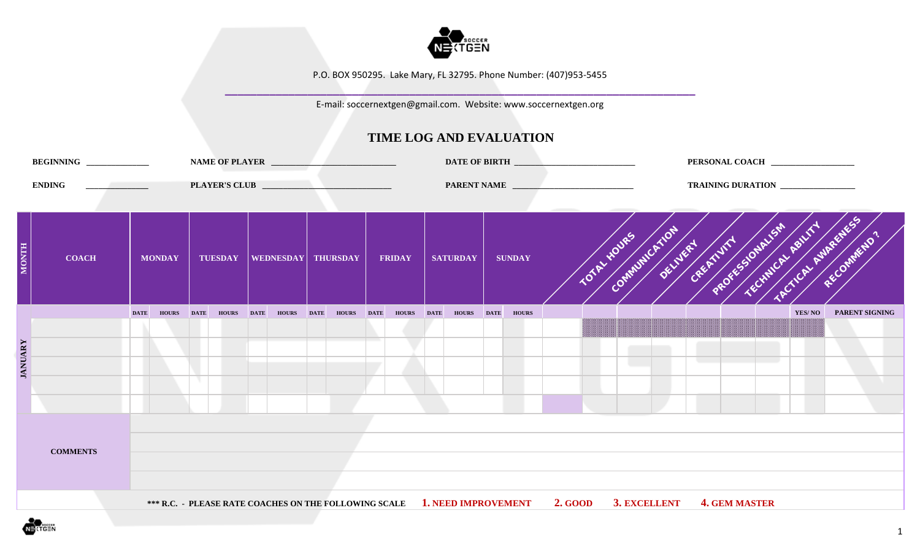

**\_\_\_\_\_\_\_\_\_\_\_\_\_\_\_\_\_\_\_\_\_\_\_\_\_\_\_\_\_\_\_\_\_\_\_\_\_\_\_\_\_\_\_\_\_\_\_\_\_\_\_\_\_\_\_\_\_\_\_\_\_\_\_\_\_\_\_\_\_\_\_\_\_\_** E-mail: soccernextgen@gmail.com. Website: www.soccernextgen.org

|                | BEGINNING ______________                                |             |               | NAME OF PLAYER                   |  |                   |               |             |                 |             |               |                                                                                                |                                                                         |  |           |                      | PERSONAL COACH    |        |                       |  |
|----------------|---------------------------------------------------------|-------------|---------------|----------------------------------|--|-------------------|---------------|-------------|-----------------|-------------|---------------|------------------------------------------------------------------------------------------------|-------------------------------------------------------------------------|--|-----------|----------------------|-------------------|--------|-----------------------|--|
|                | <b>ENDING</b><br>the control of the control of the con- |             |               |                                  |  |                   |               |             |                 |             |               | PARENT NAME                                                                                    |                                                                         |  |           |                      | TRAINING DURATION |        |                       |  |
| <b>HLNOW</b>   | <b>COACH</b>                                            |             | <b>MONDAY</b> | TUESDAY   WEDNESDAY   THURSDAY   |  |                   | <b>FRIDAY</b> |             | <b>SATURDAY</b> |             | <b>SUNDAY</b> |                                                                                                | Communication of the Prince of Country on Assistance of<br>TOTAL HOUSES |  |           |                      |                   |        | RECOMMENDO"           |  |
| <b>JANUARY</b> |                                                         | <b>DATE</b> |               | HOURS DATE HOURS DATE HOURS DATE |  | <b>HOURS</b> DATE | <b>HOURS</b>  | <b>DATE</b> | <b>HOURS</b>    | <b>DATE</b> | <b>HOURS</b>  |                                                                                                |                                                                         |  | a sa sala |                      | and the state     | YES/NO | <b>PARENT SIGNING</b> |  |
|                | <b>COMMENTS</b>                                         |             |               |                                  |  |                   |               |             |                 |             |               |                                                                                                |                                                                         |  |           |                      |                   |        |                       |  |
|                |                                                         |             |               |                                  |  |                   |               |             |                 |             |               | *** R.C. - PLEASE RATE COACHES ON THE FOLLOWING SCALE 1. NEED IMPROVEMENT 2. GOOD 3. EXCELLENT |                                                                         |  |           | <b>4. GEM MASTER</b> |                   |        |                       |  |

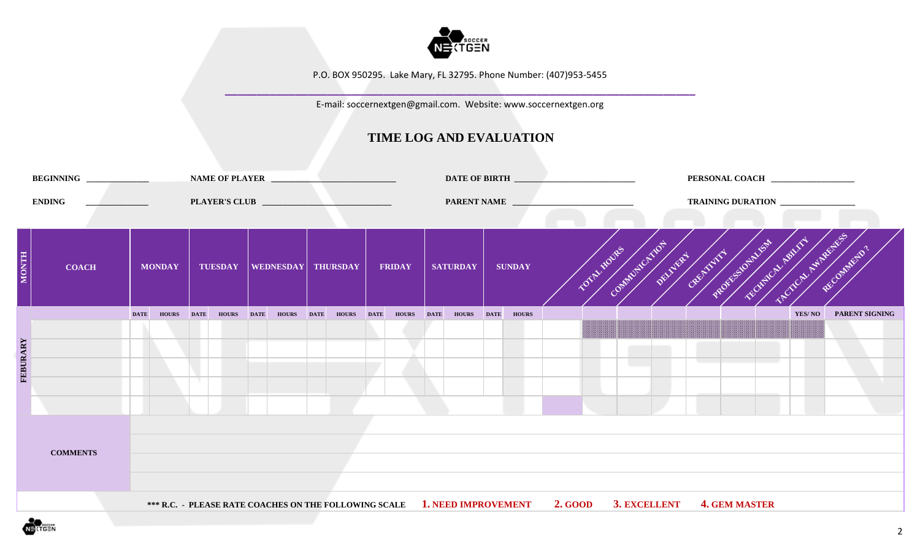

**\_\_\_\_\_\_\_\_\_\_\_\_\_\_\_\_\_\_\_\_\_\_\_\_\_\_\_\_\_\_\_\_\_\_\_\_\_\_\_\_\_\_\_\_\_\_\_\_\_\_\_\_\_\_\_\_\_\_\_\_\_\_\_\_\_\_\_\_\_\_\_\_\_\_** E-mail: soccernextgen@gmail.com. Website: www.soccernextgen.org

|              | BEGINNING ______________ |                                |               |             |                |             |                      |             | NAME OF PLAYER |               |             |                                                                           |             |               |                |             |                                                             |  |                      | PERSONAL COACH _________________ |                       |  |
|--------------|--------------------------|--------------------------------|---------------|-------------|----------------|-------------|----------------------|-------------|----------------|---------------|-------------|---------------------------------------------------------------------------|-------------|---------------|----------------|-------------|-------------------------------------------------------------|--|----------------------|----------------------------------|-----------------------|--|
|              | <b>ENDING</b>            | and the company of the company |               |             |                |             |                      |             |                |               |             | PARENT NAME                                                               |             |               |                |             |                                                             |  |                      | TRAINING DURATION                |                       |  |
| <b>MONTH</b> | <b>COACH</b>             |                                | <b>MONDAY</b> |             | <b>TUESDAY</b> |             | WEDNESDAY   THURSDAY |             |                | <b>FRIDAY</b> |             | <b>SATURDAY</b>                                                           |             | <b>SUNDAY</b> |                | TOTAL MOVES | <b>DESCRIPTION OF PROPERTY AND MANUSCRIPTION AND REALLY</b> |  |                      | SCALCAL ASIABILITY               | Reconnector?          |  |
|              |                          | <b>DATE</b>                    | <b>HOURS</b>  | <b>DATE</b> | <b>HOURS</b>   | <b>DATE</b> | <b>HOURS</b>         | <b>DATE</b> | HOURS DATE     | <b>HOURS</b>  | <b>DATE</b> | <b>HOURS</b>                                                              | <b>DATE</b> | <b>HOURS</b>  |                |             |                                                             |  |                      | YES/NO                           | <b>PARENT SIGNING</b> |  |
| FEBURARY     | <b>COMMENTS</b>          |                                |               |             |                |             |                      |             |                |               |             |                                                                           |             |               |                |             |                                                             |  |                      |                                  |                       |  |
|              |                          |                                |               |             |                |             |                      |             |                |               |             | *** R.C. - PLEASE RATE COACHES ON THE FOLLOWING SCALE 1. NEED IMPROVEMENT |             |               | <b>2. GOOD</b> |             | 3. EXCELLENT                                                |  | <b>4. GEM MASTER</b> |                                  |                       |  |

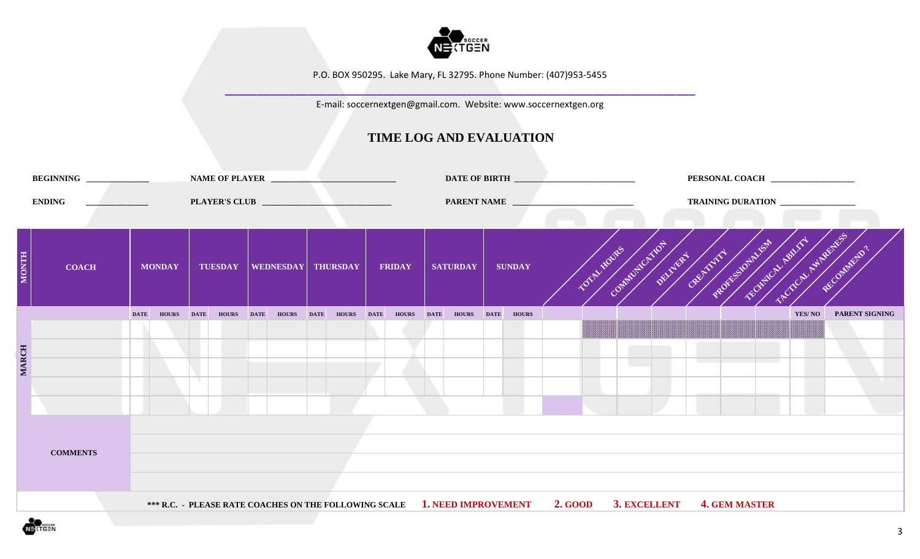

**\_\_\_\_\_\_\_\_\_\_\_\_\_\_\_\_\_\_\_\_\_\_\_\_\_\_\_\_\_\_\_\_\_\_\_\_\_\_\_\_\_\_\_\_\_\_\_\_\_\_\_\_\_\_\_\_\_\_\_\_\_\_\_\_\_\_\_\_\_\_\_\_\_\_** E-mail: soccernextgen@gmail.com. Website: www.soccernextgen.org

|              | BEGINNING ______________ |                                |               |             |                   |                           |              |             | NAME OF PLAYER    |               |                                                                           |             |               |                |            |              |                      |                                             | PERSONAL COACH ________________   |                       |  |
|--------------|--------------------------|--------------------------------|---------------|-------------|-------------------|---------------------------|--------------|-------------|-------------------|---------------|---------------------------------------------------------------------------|-------------|---------------|----------------|------------|--------------|----------------------|---------------------------------------------|-----------------------------------|-----------------------|--|
|              | <b>ENDING</b>            | and the company of the company |               |             |                   |                           |              |             |                   |               | PARENT NAME                                                               |             |               |                |            |              |                      |                                             | TRAINING DURATION _______________ |                       |  |
| <b>MONTH</b> | <b>COACH</b>             |                                | <b>MONDAY</b> |             | <b>TUESDAY</b>    | <b>WEDNESDAY THURSDAY</b> |              |             |                   | <b>FRIDAY</b> | <b>SATURDAY</b>                                                           |             | <b>SUNDAY</b> |                | TOTALIDUES |              |                      | DOMESTIC TRIVES OF THE REPORT OF THE OWNER. | SOUCIL ISLANDS                    | RECOMMENTS .          |  |
|              |                          | <b>DATE</b>                    | <b>HOURS</b>  | <b>DATE</b> | <b>HOURS</b> DATE |                           | <b>HOURS</b> | <b>DATE</b> | <b>HOURS</b> DATE | HOURS DATE    | <b>HOURS</b>                                                              | <b>DATE</b> | <b>HOURS</b>  |                |            |              |                      |                                             | YES/NO                            | <b>PARENT SIGNING</b> |  |
| <b>MARCH</b> |                          |                                |               |             |                   |                           |              |             |                   |               |                                                                           |             |               |                |            |              |                      |                                             |                                   |                       |  |
|              | <b>COMMENTS</b>          |                                |               |             |                   |                           |              |             |                   |               |                                                                           |             |               |                |            |              |                      |                                             |                                   |                       |  |
|              |                          |                                |               |             |                   |                           |              |             |                   |               | *** R.C. - PLEASE RATE COACHES ON THE FOLLOWING SCALE 1. NEED IMPROVEMENT |             |               | <b>2. GOOD</b> |            | 3. EXCELLENT | <b>4. GEM MASTER</b> |                                             |                                   |                       |  |

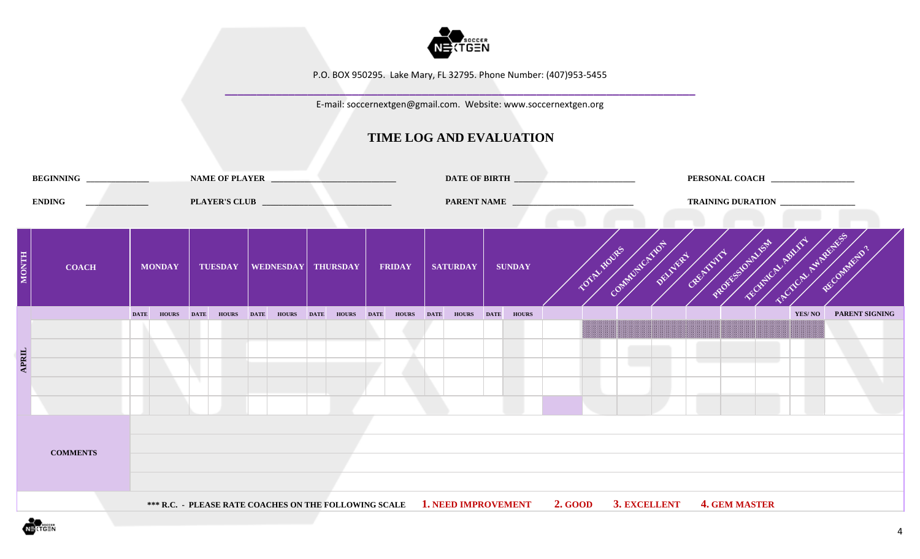

**\_\_\_\_\_\_\_\_\_\_\_\_\_\_\_\_\_\_\_\_\_\_\_\_\_\_\_\_\_\_\_\_\_\_\_\_\_\_\_\_\_\_\_\_\_\_\_\_\_\_\_\_\_\_\_\_\_\_\_\_\_\_\_\_\_\_\_\_\_\_\_\_\_\_** E-mail: soccernextgen@gmail.com. Website: www.soccernextgen.org

|                      | BEGINNING ______________ |                                 |               |             |                   |                   | NAME OF PLAYER                 |                   |                                                                                                |               |             |  |  |                      | PERSONAL COACH _________________                                               |                       |
|----------------------|--------------------------|---------------------------------|---------------|-------------|-------------------|-------------------|--------------------------------|-------------------|------------------------------------------------------------------------------------------------|---------------|-------------|--|--|----------------------|--------------------------------------------------------------------------------|-----------------------|
|                      | <b>ENDING</b>            | the contract of the contract of |               |             |                   |                   |                                |                   | PARENT NAME                                                                                    |               |             |  |  |                      | TRAINING DURATION _______________                                              |                       |
| <b>MONTH</b>         | <b>COACH</b>             |                                 | <b>MONDAY</b> |             |                   |                   | TUESDAY   WEDNESDAY   THURSDAY | <b>FRIDAY</b>     | <b>SATURDAY</b>                                                                                | <b>SUNDAY</b> | TOTAL HOURS |  |  |                      | SCALCAL ANDERSES<br><b>DRAWING AND THE REGISTER OF A REGISTER AND REGISTER</b> | RECOMMENTS .          |
|                      |                          | <b>DATE</b>                     | <b>HOURS</b>  | <b>DATE</b> | <b>HOURS</b> DATE | <b>HOURS</b> DATE | <b>HOURS</b> DATE              | <b>HOURS</b> DATE | <b>HOURS</b> DATE                                                                              | <b>HOURS</b>  |             |  |  |                      | YES/NO                                                                         | <b>PARENT SIGNING</b> |
| $\Delta \text{PEIL}$ |                          |                                 |               |             |                   |                   |                                |                   |                                                                                                |               |             |  |  |                      |                                                                                |                       |
|                      | <b>COMMENTS</b>          |                                 |               |             |                   |                   |                                |                   |                                                                                                |               |             |  |  |                      |                                                                                |                       |
|                      |                          |                                 |               |             |                   |                   |                                |                   | *** R.C. - PLEASE RATE COACHES ON THE FOLLOWING SCALE 1. NEED IMPROVEMENT 2. GOOD 3. EXCELLENT |               |             |  |  | <b>4. GEM MASTER</b> |                                                                                |                       |

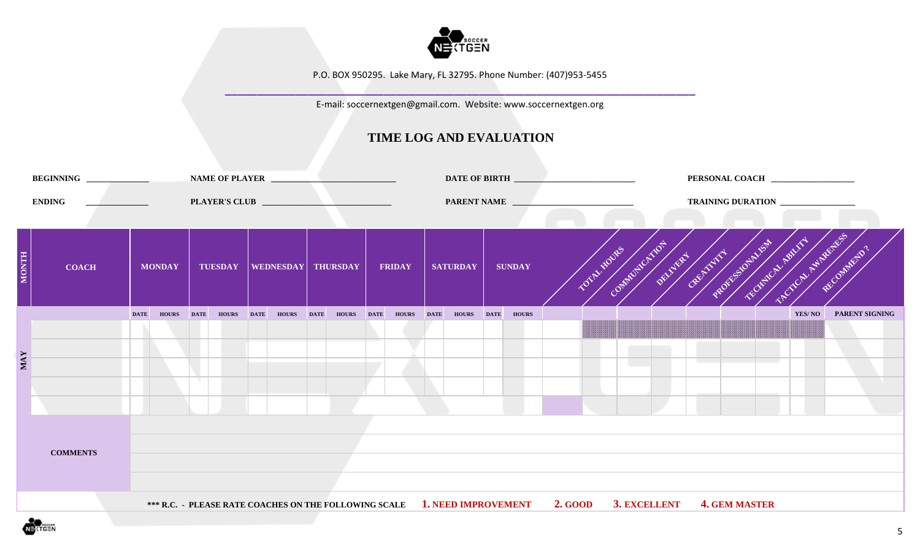

**\_\_\_\_\_\_\_\_\_\_\_\_\_\_\_\_\_\_\_\_\_\_\_\_\_\_\_\_\_\_\_\_\_\_\_\_\_\_\_\_\_\_\_\_\_\_\_\_\_\_\_\_\_\_\_\_\_\_\_\_\_\_\_\_\_\_\_\_\_\_\_\_\_\_** E-mail: soccernextgen@gmail.com. Website: www.soccernextgen.org

|              | BEGINNING ______________ |                               |               |             | NAME OF PLAYER    |            |                      |               |             |                   |               |                                                                                   |             |                                                         |                      | PERSONAL COACH _________________ |                       |  |
|--------------|--------------------------|-------------------------------|---------------|-------------|-------------------|------------|----------------------|---------------|-------------|-------------------|---------------|-----------------------------------------------------------------------------------|-------------|---------------------------------------------------------|----------------------|----------------------------------|-----------------------|--|
|              | <b>ENDING</b>            | the company of the company of |               |             |                   |            |                      |               |             | PARENT NAME       |               |                                                                                   |             |                                                         |                      | TRAINING DURATION                |                       |  |
| <b>MONTH</b> | <b>COACH</b>             |                               | <b>MONDAY</b> |             | <b>TUESDAY</b>    |            | WEDNESDAY   THURSDAY | <b>FRIDAY</b> |             | <b>SATURDAY</b>   | <b>SUNDAY</b> |                                                                                   | TOTAL HOURS | Communication of the communication of the communication |                      | SCALCAL ASIADORES                | Recommends.           |  |
|              |                          | <b>DATE</b>                   | <b>HOURS</b>  | <b>DATE</b> | <b>HOURS</b> DATE | HOURS DATE | HOURS DATE           | <b>HOURS</b>  | <b>DATE</b> | <b>HOURS</b> DATE | <b>HOURS</b>  |                                                                                   |             |                                                         |                      | YES/NO                           | <b>PARENT SIGNING</b> |  |
| <b>MAY</b>   |                          |                               |               |             |                   |            |                      |               |             |                   |               |                                                                                   |             |                                                         |                      |                                  |                       |  |
|              | <b>COMMENTS</b>          |                               |               |             |                   |            |                      |               |             |                   |               |                                                                                   |             |                                                         |                      |                                  |                       |  |
|              |                          |                               |               |             |                   |            |                      |               |             |                   |               | *** R.C. - PLEASE RATE COACHES ON THE FOLLOWING SCALE 1. NEED IMPROVEMENT 2. GOOD |             | 3. EXCELLENT                                            | <b>4. GEM MASTER</b> |                                  |                       |  |

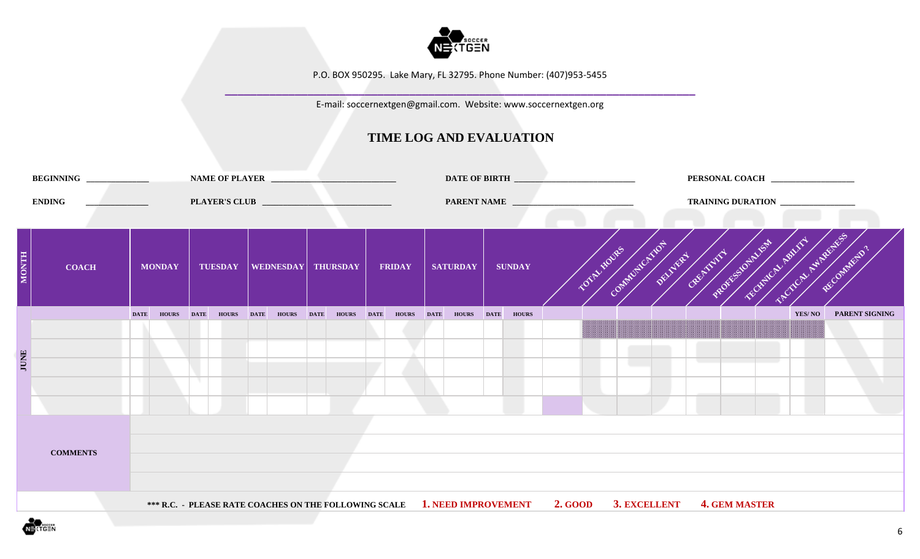

**\_\_\_\_\_\_\_\_\_\_\_\_\_\_\_\_\_\_\_\_\_\_\_\_\_\_\_\_\_\_\_\_\_\_\_\_\_\_\_\_\_\_\_\_\_\_\_\_\_\_\_\_\_\_\_\_\_\_\_\_\_\_\_\_\_\_\_\_\_\_\_\_\_\_** E-mail: soccernextgen@gmail.com. Website: www.soccernextgen.org

|              | BEGINNING _____________ |                                   |               |              |             |                   |                   | NAME OF PLAYER                 |               |                   |               |                                                                                                |  |  |                      |                                                   |                       |  |
|--------------|-------------------------|-----------------------------------|---------------|--------------|-------------|-------------------|-------------------|--------------------------------|---------------|-------------------|---------------|------------------------------------------------------------------------------------------------|--|--|----------------------|---------------------------------------------------|-----------------------|--|
|              | <b>ENDING</b>           | the control of the control of the |               |              |             |                   |                   |                                |               | PARENT NAME       |               |                                                                                                |  |  |                      | TRAINING DURATION ______________                  |                       |  |
| <b>MONTH</b> | <b>COACH</b>            |                                   | <b>MONDAY</b> |              |             |                   |                   | TUESDAY   WEDNESDAY   THURSDAY | <b>FRIDAY</b> | <b>SATURDAY</b>   | <b>SUNDAY</b> | TOTAL MOVIES                                                                                   |  |  |                      | COMMUNICATION OF REAL AND DESCRIPTION OF PROPERTY | RECOMMEND ?           |  |
|              |                         | <b>DATE</b>                       |               | <b>HOURS</b> | <b>DATE</b> | <b>HOURS</b> DATE | <b>HOURS</b> DATE | <b>HOURS</b> DATE              | HOURS DATE    | <b>HOURS</b> DATE | <b>HOURS</b>  |                                                                                                |  |  |                      | YES/NO                                            | <b>PARENT SIGNING</b> |  |
| <b>JUNE</b>  | <b>COMMENTS</b>         |                                   |               |              |             |                   |                   |                                |               |                   |               |                                                                                                |  |  |                      |                                                   |                       |  |
|              |                         |                                   |               |              |             |                   |                   |                                |               |                   |               |                                                                                                |  |  |                      |                                                   |                       |  |
|              |                         |                                   |               |              |             |                   |                   |                                |               |                   |               | *** R.C. - PLEASE RATE COACHES ON THE FOLLOWING SCALE 1. NEED IMPROVEMENT 2. GOOD 3. EXCELLENT |  |  | <b>4. GEM MASTER</b> |                                                   |                       |  |

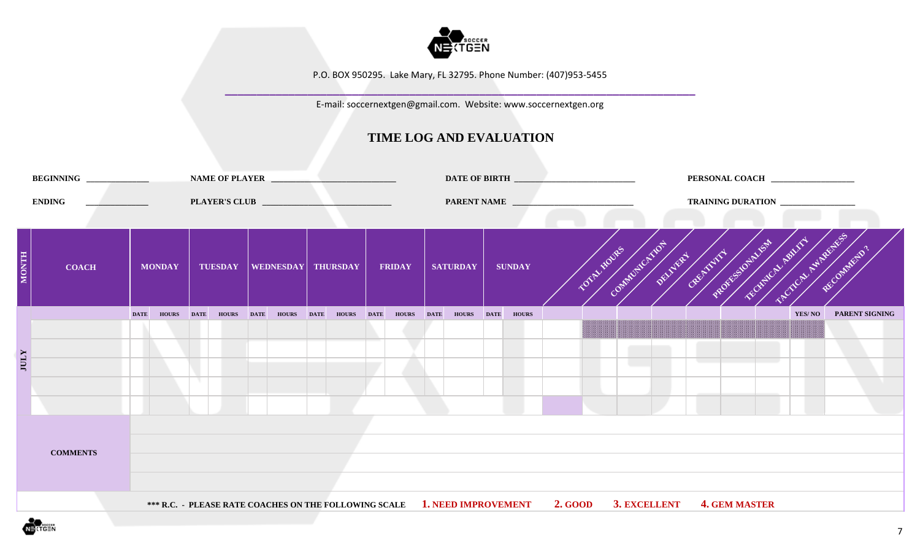

**\_\_\_\_\_\_\_\_\_\_\_\_\_\_\_\_\_\_\_\_\_\_\_\_\_\_\_\_\_\_\_\_\_\_\_\_\_\_\_\_\_\_\_\_\_\_\_\_\_\_\_\_\_\_\_\_\_\_\_\_\_\_\_\_\_\_\_\_\_\_\_\_\_\_** E-mail: soccernextgen@gmail.com. Website: www.soccernextgen.org

|              |                 |                              |               |             |                |             |              |             | NAME OF PLAYER       |               |                                                                           |             |               |                      |             |  |  |                      |                                                                         |                       |  |
|--------------|-----------------|------------------------------|---------------|-------------|----------------|-------------|--------------|-------------|----------------------|---------------|---------------------------------------------------------------------------|-------------|---------------|----------------------|-------------|--|--|----------------------|-------------------------------------------------------------------------|-----------------------|--|
|              | <b>ENDING</b>   | the company's company's com- |               |             |                |             |              |             |                      |               | PARENT NAME                                                               |             |               |                      |             |  |  |                      | TRAINING DURATION                                                       |                       |  |
| <b>HINOM</b> | <b>COACH</b>    |                              | <b>MONDAY</b> |             | <b>TUESDAY</b> |             |              |             | WEDNESDAY   THURSDAY | <b>FRIDAY</b> | <b>SATURDAY</b>                                                           |             | <b>SUNDAY</b> |                      | TOTAL MOVES |  |  |                      | STOCK AVAILABLE S<br>COMMUNICATION OF THE TWO WAS TO BOOM OF THE OWNER. | RECOMMENTS .          |  |
|              |                 | <b>DATE</b>                  | <b>HOURS</b>  | <b>DATE</b> | <b>HOURS</b>   | <b>DATE</b> | <b>HOURS</b> | <b>DATE</b> | HOURS DATE           | HOURS DATE    | <b>HOURS</b>                                                              | <b>DATE</b> | <b>HOURS</b>  |                      |             |  |  |                      | YES/NO                                                                  | <b>PARENT SIGNING</b> |  |
| <b>IULY</b>  |                 |                              |               |             |                |             |              |             |                      |               |                                                                           |             |               |                      |             |  |  |                      |                                                                         |                       |  |
|              | <b>COMMENTS</b> |                              |               |             |                |             |              |             |                      |               |                                                                           |             |               |                      |             |  |  |                      |                                                                         |                       |  |
|              |                 |                              |               |             |                |             |              |             |                      |               | *** R.C. - PLEASE RATE COACHES ON THE FOLLOWING SCALE 1. NEED IMPROVEMENT |             |               | 2. GOOD 3. EXCELLENT |             |  |  | <b>4. GEM MASTER</b> |                                                                         |                       |  |

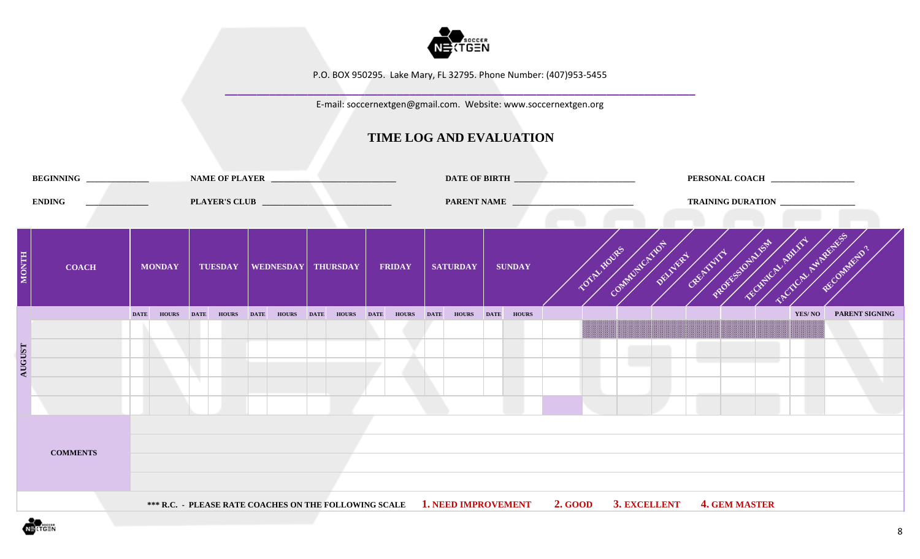

**\_\_\_\_\_\_\_\_\_\_\_\_\_\_\_\_\_\_\_\_\_\_\_\_\_\_\_\_\_\_\_\_\_\_\_\_\_\_\_\_\_\_\_\_\_\_\_\_\_\_\_\_\_\_\_\_\_\_\_\_\_\_\_\_\_\_\_\_\_\_\_\_\_\_** E-mail: soccernextgen@gmail.com. Website: www.soccernextgen.org

|               | BEGINNING ______________ |                                                     |               |             |                   |              | NAME OF PLAYER                                                            |                   | DATE OF BIRTH      |             |               | PERSONAL COACH _________________                                                   |
|---------------|--------------------------|-----------------------------------------------------|---------------|-------------|-------------------|--------------|---------------------------------------------------------------------------|-------------------|--------------------|-------------|---------------|------------------------------------------------------------------------------------|
|               | <b>ENDING</b>            | <u> 1999 - Jan Barbara Barat, politik politik (</u> |               |             |                   |              |                                                                           |                   | <b>PARENT NAME</b> |             |               | TRAINING DURATION ____________                                                     |
| <b>MONTH</b>  | <b>COACH</b>             |                                                     | <b>MONDAY</b> |             | <b>TUESDAY</b>    |              | WEDNESDAY THURSDAY                                                        | <b>FRIDAY</b>     | <b>SATURDAY</b>    |             | <b>SUNDAY</b> | CALINDRATION OF THE RIVER OF A CALINDARY AND RECORD<br>RECOMMEND'.<br>TOTAL MOVIES |
|               |                          | <b>DATE</b>                                         | <b>HOURS</b>  | <b>DATE</b> | <b>HOURS</b> DATE | <b>HOURS</b> | <b>DATE</b><br><b>HOURS</b> DATE                                          | <b>HOURS</b> DATE | <b>HOURS</b>       | <b>DATE</b> | <b>HOURS</b>  | <b>PARENT SIGNING</b><br>YES/NO                                                    |
| <b>AUGUST</b> | <b>COMMENTS</b>          |                                                     |               |             |                   |              |                                                                           |                   |                    |             |               |                                                                                    |
|               |                          |                                                     |               |             |                   |              | *** R.C. - PLEASE RATE COACHES ON THE FOLLOWING SCALE 1. NEED IMPROVEMENT |                   |                    |             |               | <b>2. GOOD</b><br>3. EXCELLENT<br><b>4. GEM MASTER</b>                             |

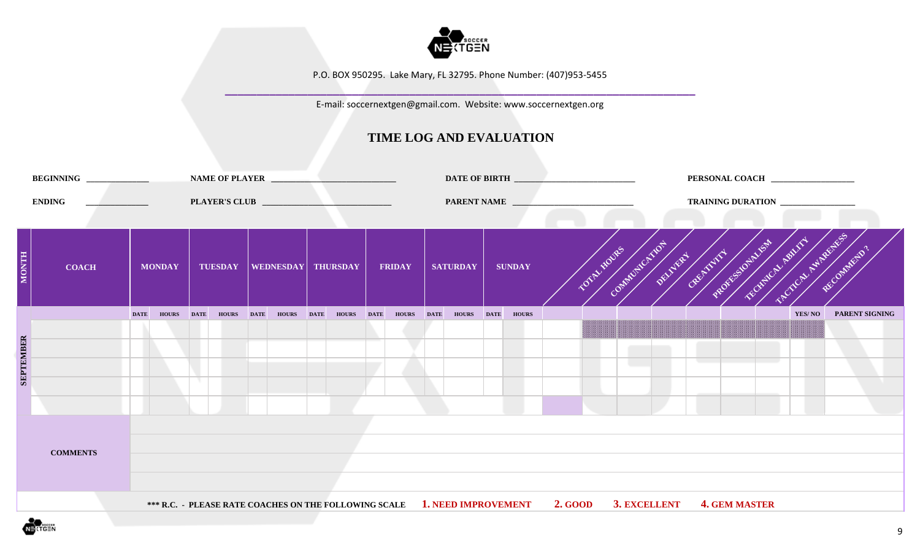

**\_\_\_\_\_\_\_\_\_\_\_\_\_\_\_\_\_\_\_\_\_\_\_\_\_\_\_\_\_\_\_\_\_\_\_\_\_\_\_\_\_\_\_\_\_\_\_\_\_\_\_\_\_\_\_\_\_\_\_\_\_\_\_\_\_\_\_\_\_\_\_\_\_\_** E-mail: soccernextgen@gmail.com. Website: www.soccernextgen.org

|                  | BEGINNING ______________ |                                   |               |             |                      |              | NAME OF PLAYER                                                                                                        |                   |                   |  | DATE OF BIRTH      |             |               |                |            |              |  |  |                      | PERSONAL COACH _________________                    |                       |  |
|------------------|--------------------------|-----------------------------------|---------------|-------------|----------------------|--------------|-----------------------------------------------------------------------------------------------------------------------|-------------------|-------------------|--|--------------------|-------------|---------------|----------------|------------|--------------|--|--|----------------------|-----------------------------------------------------|-----------------------|--|
|                  | <b>ENDING</b>            | the company of the company of the |               |             | <b>PLAYER'S CLUB</b> |              | <u> 2000 - Jan James James Jan James James Jan James James Jan James James Jan James James Jan Jan James James Ja</u> |                   |                   |  | <b>PARENT NAME</b> |             |               |                |            |              |  |  |                      | TRAINING DURATION ____________                      |                       |  |
| <b>MONTH</b>     | <b>COACH</b>             |                                   | <b>MONDAY</b> |             | <b>TUESDAY</b>       |              | WEDNESDAY THURSDAY                                                                                                    |                   | <b>FRIDAY</b>     |  | <b>SATURDAY</b>    |             | <b>SUNDAY</b> |                | TOTALIDUES |              |  |  |                      | CALINDRATION OF THE RIVER OF A CALINDARY AND RECORD | RECOMMEND'.           |  |
|                  |                          | <b>DATE</b>                       | <b>HOURS</b>  | <b>DATE</b> | <b>HOURS</b> DATE    | <b>HOURS</b> | <b>DATE</b>                                                                                                           | <b>HOURS</b> DATE | <b>HOURS</b> DATE |  | <b>HOURS</b>       | <b>DATE</b> | <b>HOURS</b>  |                |            |              |  |  |                      | YES/NO                                              | <b>PARENT SIGNING</b> |  |
|                  |                          |                                   |               |             |                      |              |                                                                                                                       |                   |                   |  |                    |             |               |                |            |              |  |  |                      |                                                     |                       |  |
| <b>SEPTEMBER</b> |                          |                                   |               |             |                      |              |                                                                                                                       |                   |                   |  |                    |             |               |                |            |              |  |  |                      |                                                     |                       |  |
|                  |                          |                                   |               |             |                      |              |                                                                                                                       |                   |                   |  |                    |             |               |                |            |              |  |  |                      |                                                     |                       |  |
|                  |                          |                                   |               |             |                      |              |                                                                                                                       |                   |                   |  |                    |             |               |                |            |              |  |  |                      |                                                     |                       |  |
|                  |                          |                                   |               |             |                      |              |                                                                                                                       |                   |                   |  |                    |             |               |                |            |              |  |  |                      |                                                     |                       |  |
|                  | <b>COMMENTS</b>          |                                   |               |             |                      |              |                                                                                                                       |                   |                   |  |                    |             |               |                |            |              |  |  |                      |                                                     |                       |  |
|                  |                          |                                   |               |             |                      |              |                                                                                                                       |                   |                   |  |                    |             |               |                |            |              |  |  |                      |                                                     |                       |  |
|                  |                          |                                   |               |             |                      |              |                                                                                                                       |                   |                   |  |                    |             |               |                |            |              |  |  |                      |                                                     |                       |  |
|                  |                          |                                   |               |             |                      |              | *** R.C. - PLEASE RATE COACHES ON THE FOLLOWING SCALE 1. NEED IMPROVEMENT                                             |                   |                   |  |                    |             |               | <b>2. GOOD</b> |            | 3. EXCELLENT |  |  | <b>4. GEM MASTER</b> |                                                     |                       |  |

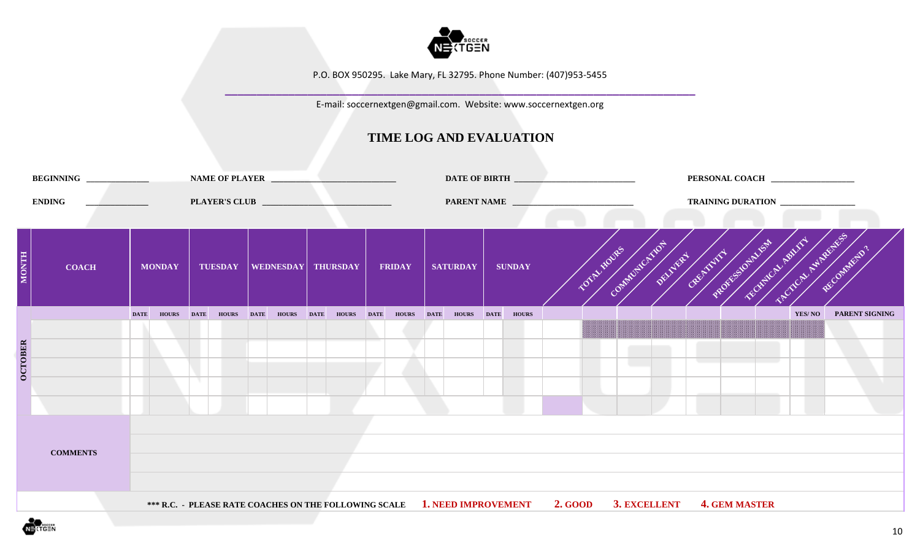

**\_\_\_\_\_\_\_\_\_\_\_\_\_\_\_\_\_\_\_\_\_\_\_\_\_\_\_\_\_\_\_\_\_\_\_\_\_\_\_\_\_\_\_\_\_\_\_\_\_\_\_\_\_\_\_\_\_\_\_\_\_\_\_\_\_\_\_\_\_\_\_\_\_\_** E-mail: soccernextgen@gmail.com. Website: www.soccernextgen.org

|                | BEGINNING _____________ |                                |               |             |                   |                           |             | NAME OF PLAYER    |                   |                 |             |               |                                                                                                |             |                                              |                      | PERSONAL COACH ________________ |                       |
|----------------|-------------------------|--------------------------------|---------------|-------------|-------------------|---------------------------|-------------|-------------------|-------------------|-----------------|-------------|---------------|------------------------------------------------------------------------------------------------|-------------|----------------------------------------------|----------------------|---------------------------------|-----------------------|
|                | <b>ENDING</b>           | the property of the control of |               |             |                   |                           |             |                   |                   | PARENT NAME     |             |               |                                                                                                |             |                                              |                      |                                 |                       |
| <b>MONTH</b>   | <b>COACH</b>            |                                | <b>MONDAY</b> |             | <b>TUESDAY</b>    | <b>WEDNESDAY THURSDAY</b> |             |                   | <b>FRIDAY</b>     | <b>SATURDAY</b> |             | <b>SUNDAY</b> |                                                                                                | TOTAL MOVES | DOMESTIC TRIVES OF THE REPORT OF THE POST OF |                      | <b>SECTION MARKETS</b>          | RECOMMENTS .          |
|                |                         | <b>DATE</b>                    | <b>HOURS</b>  | <b>DATE</b> | <b>HOURS</b> DATE | <b>HOURS</b>              | <b>DATE</b> | <b>HOURS</b> DATE | <b>HOURS</b> DATE | <b>HOURS</b>    | <b>DATE</b> | <b>HOURS</b>  |                                                                                                |             |                                              |                      | YES/NO                          | <b>PARENT SIGNING</b> |
| <b>OCTOBER</b> |                         |                                |               |             |                   |                           |             |                   |                   |                 |             |               |                                                                                                |             |                                              |                      |                                 |                       |
|                | <b>COMMENTS</b>         |                                |               |             |                   |                           |             |                   |                   |                 |             |               |                                                                                                |             |                                              |                      |                                 |                       |
|                |                         |                                |               |             |                   |                           |             |                   |                   |                 |             |               | *** R.C. - PLEASE RATE COACHES ON THE FOLLOWING SCALE 1. NEED IMPROVEMENT 2. GOOD 3. EXCELLENT |             |                                              | <b>4. GEM MASTER</b> |                                 |                       |

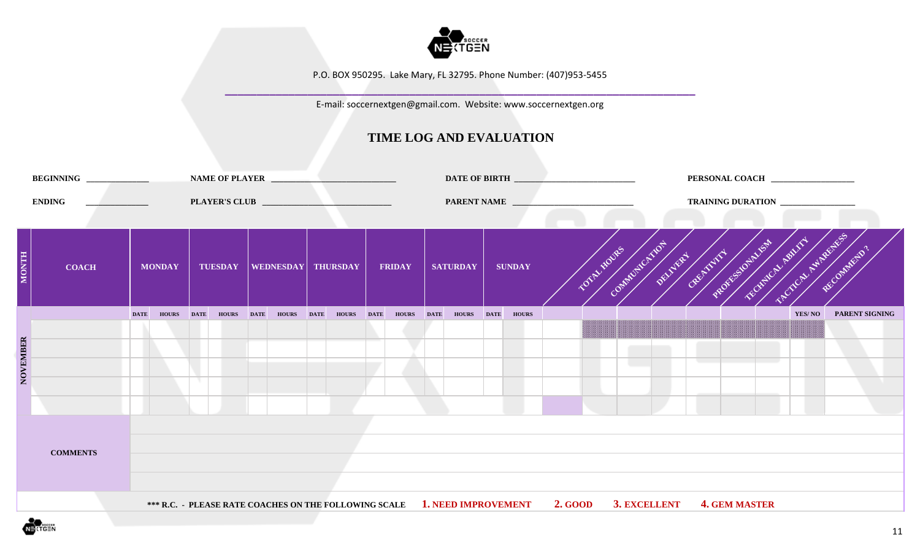

**\_\_\_\_\_\_\_\_\_\_\_\_\_\_\_\_\_\_\_\_\_\_\_\_\_\_\_\_\_\_\_\_\_\_\_\_\_\_\_\_\_\_\_\_\_\_\_\_\_\_\_\_\_\_\_\_\_\_\_\_\_\_\_\_\_\_\_\_\_\_\_\_\_\_** E-mail: soccernextgen@gmail.com. Website: www.soccernextgen.org

|              | BEGINNING ______________ |                                |               |             |                   |                           |             | NAME OF PLAYER    |               |                                                                           |             |               |                |            |              |  |                      | PERSONAL COACH ________________                                       |                       |
|--------------|--------------------------|--------------------------------|---------------|-------------|-------------------|---------------------------|-------------|-------------------|---------------|---------------------------------------------------------------------------|-------------|---------------|----------------|------------|--------------|--|----------------------|-----------------------------------------------------------------------|-----------------------|
|              | <b>ENDING</b>            | and the company of the company |               |             |                   |                           |             |                   |               | PARENT NAME                                                               |             |               |                |            |              |  |                      | TRAINING DURATION                                                     |                       |
| <b>MONTH</b> | <b>COACH</b>             |                                | <b>MONDAY</b> |             | <b>TUESDAY</b>    | <b>WEDNESDAY THURSDAY</b> |             |                   | <b>FRIDAY</b> | <b>SATURDAY</b>                                                           |             | <b>SUNDAY</b> |                | TOTALIDUES |              |  |                      | <b>POTTCAL MARKERS</b><br>DOMESTIC TRIVES OF THE REPORT OF THE OWNER. | RECOMMENTS .          |
|              |                          | <b>DATE</b>                    | <b>HOURS</b>  | <b>DATE</b> | <b>HOURS</b> DATE | <b>HOURS</b>              | <b>DATE</b> | <b>HOURS</b> DATE | HOURS DATE    | <b>HOURS</b>                                                              | <b>DATE</b> | <b>HOURS</b>  |                |            |              |  |                      | YES/NO                                                                | <b>PARENT SIGNING</b> |
|              |                          |                                |               |             |                   |                           |             |                   |               |                                                                           |             |               |                |            |              |  |                      |                                                                       |                       |
| NOVEMBER     |                          |                                |               |             |                   |                           |             |                   |               |                                                                           |             |               |                |            |              |  |                      |                                                                       |                       |
|              |                          |                                |               |             |                   |                           |             |                   |               |                                                                           |             |               |                |            |              |  |                      |                                                                       |                       |
|              |                          |                                |               |             |                   |                           |             |                   |               |                                                                           |             |               |                |            |              |  |                      |                                                                       |                       |
|              |                          |                                |               |             |                   |                           |             |                   |               |                                                                           |             |               |                |            |              |  |                      |                                                                       |                       |
|              | <b>COMMENTS</b>          |                                |               |             |                   |                           |             |                   |               |                                                                           |             |               |                |            |              |  |                      |                                                                       |                       |
|              |                          |                                |               |             |                   |                           |             |                   |               |                                                                           |             |               |                |            |              |  |                      |                                                                       |                       |
|              |                          |                                |               |             |                   |                           |             |                   |               |                                                                           |             |               |                |            |              |  |                      |                                                                       |                       |
|              |                          |                                |               |             |                   |                           |             |                   |               | *** R.C. - PLEASE RATE COACHES ON THE FOLLOWING SCALE 1. NEED IMPROVEMENT |             |               | <b>2. GOOD</b> |            | 3. EXCELLENT |  | <b>4. GEM MASTER</b> |                                                                       |                       |